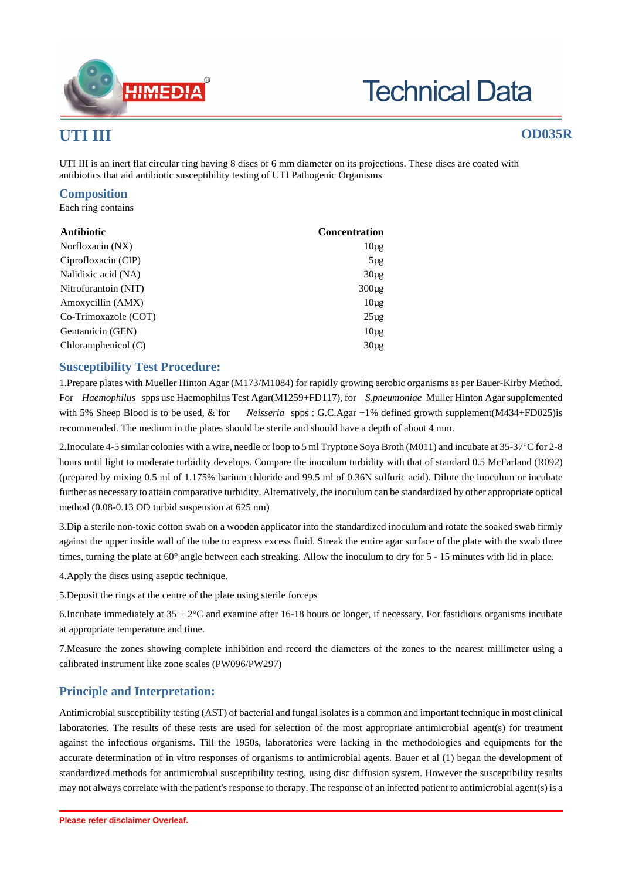

# **Technical Data**

## **UTI III OD035R**

UTI III is an inert flat circular ring having 8 discs of 6 mm diameter on its projections. These discs are coated with antibiotics that aid antibiotic susceptibility testing of UTI Pathogenic Organisms

#### **Composition**

Each ring contains

| Antibiotic            | <b>Concentration</b> |
|-----------------------|----------------------|
| Norfloxacin (NX)      | $10\mu$ g            |
| Ciprofloxacin (CIP)   | $5\mu$ g             |
| Nalidixic acid (NA)   | $30\mu$ g            |
| Nitrofurantoin (NIT)  | $300\mu$ g           |
| Amoxycillin (AMX)     | $10\mu$ g            |
| Co-Trimoxazole (COT)  | $25\mu$ g            |
| Gentamicin (GEN)      | $10\mu$ g            |
| Chloramphenicol $(C)$ | $30\mu$ g            |

#### **Susceptibility Test Procedure:**

1.Prepare plates with Mueller Hinton Agar (M173/M1084) for rapidly growing aerobic organisms as per Bauer-Kirby Method. For *Haemophilus* spps use Haemophilus Test Agar(M1259+FD117), for *S.pneumoniae* Muller Hinton Agar supplemented with 5% Sheep Blood is to be used, & for *Neisseria* spps : G.C.Agar +1% defined growth supplement(M434+FD025)is recommended. The medium in the plates should be sterile and should have a depth of about 4 mm.

2.Inoculate 4-5 similar colonies with a wire, needle or loop to 5 ml Tryptone Soya Broth (M011) and incubate at 35-37°C for 2-8 hours until light to moderate turbidity develops. Compare the inoculum turbidity with that of standard 0.5 McFarland (R092) (prepared by mixing 0.5 ml of 1.175% barium chloride and 99.5 ml of 0.36N sulfuric acid). Dilute the inoculum or incubate further as necessary to attain comparative turbidity. Alternatively, the inoculum can be standardized by other appropriate optical method (0.08-0.13 OD turbid suspension at 625 nm)

3.Dip a sterile non-toxic cotton swab on a wooden applicator into the standardized inoculum and rotate the soaked swab firmly against the upper inside wall of the tube to express excess fluid. Streak the entire agar surface of the plate with the swab three times, turning the plate at 60° angle between each streaking. Allow the inoculum to dry for 5 - 15 minutes with lid in place.

4.Apply the discs using aseptic technique.

5.Deposit the rings at the centre of the plate using sterile forceps

6.Incubate immediately at  $35 \pm 2^{\circ}$ C and examine after 16-18 hours or longer, if necessary. For fastidious organisms incubate at appropriate temperature and time.

7.Measure the zones showing complete inhibition and record the diameters of the zones to the nearest millimeter using a calibrated instrument like zone scales (PW096/PW297)

### **Principle and Interpretation:**

Antimicrobial susceptibility testing (AST) of bacterial and fungal isolates is a common and important technique in most clinical laboratories. The results of these tests are used for selection of the most appropriate antimicrobial agent(s) for treatment against the infectious organisms. Till the 1950s, laboratories were lacking in the methodologies and equipments for the accurate determination of in vitro responses of organisms to antimicrobial agents. Bauer et al (1) began the development of standardized methods for antimicrobial susceptibility testing, using disc diffusion system. However the susceptibility results may not always correlate with the patient's response to therapy. The response of an infected patient to antimicrobial agent(s) is a